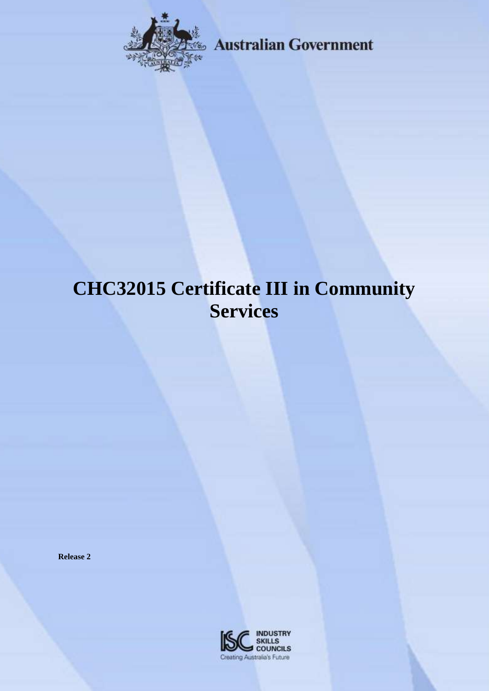

**Australian Government** 

# **CHC32015 Certificate III in Community Services**

**Release 2**

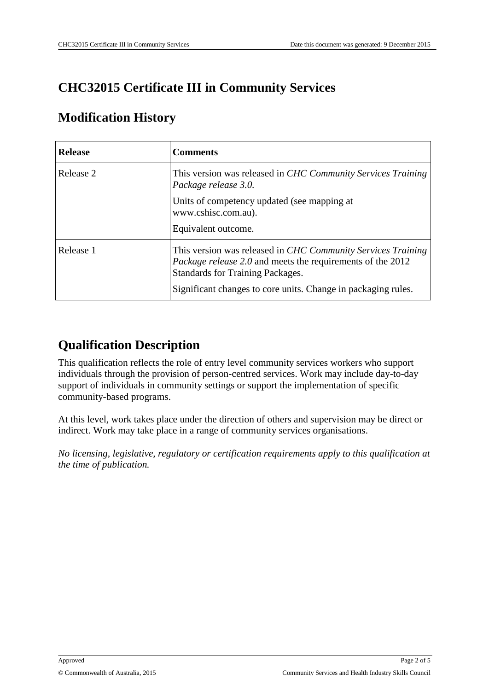# **CHC32015 Certificate III in Community Services**

#### **Modification History**

| <b>Release</b> | <b>Comments</b>                                                                                                                                                                                                                        |
|----------------|----------------------------------------------------------------------------------------------------------------------------------------------------------------------------------------------------------------------------------------|
| Release 2      | This version was released in CHC Community Services Training<br>Package release 3.0.                                                                                                                                                   |
|                | Units of competency updated (see mapping at<br>www.cshisc.com.au).<br>Equivalent outcome.                                                                                                                                              |
| Release 1      | This version was released in CHC Community Services Training<br><i>Package release 2.0</i> and meets the requirements of the 2012<br>Standards for Training Packages.<br>Significant changes to core units. Change in packaging rules. |

# **Qualification Description**

This qualification reflects the role of entry level community services workers who support individuals through the provision of person-centred services. Work may include day-to-day support of individuals in community settings or support the implementation of specific community-based programs.

At this level, work takes place under the direction of others and supervision may be direct or indirect. Work may take place in a range of community services organisations.

*No licensing, legislative, regulatory or certification requirements apply to this qualification at the time of publication.*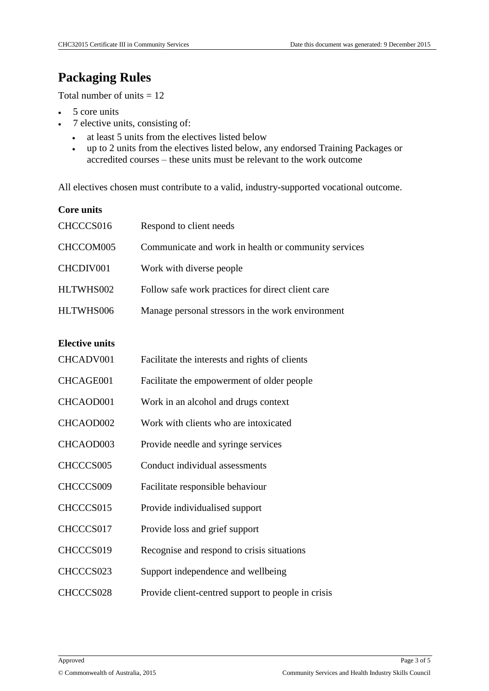### **Packaging Rules**

Total number of units  $= 12$ 

- 5 core units
- 7 elective units, consisting of:
	- at least 5 units from the electives listed below
	- up to 2 units from the electives listed below, any endorsed Training Packages or accredited courses – these units must be relevant to the work outcome

All electives chosen must contribute to a valid, industry-supported vocational outcome.

| <b>Core units</b>     |                                                      |
|-----------------------|------------------------------------------------------|
| CHCCCS016             | Respond to client needs                              |
| CHCCOM005             | Communicate and work in health or community services |
| CHCDIV001             | Work with diverse people                             |
| HLTWHS002             | Follow safe work practices for direct client care    |
| HLTWHS006             | Manage personal stressors in the work environment    |
| <b>Elective units</b> |                                                      |
| CHCADV001             | Facilitate the interests and rights of clients       |
|                       |                                                      |
| CHCAGE001             | Facilitate the empowerment of older people           |
| CHCAOD001             | Work in an alcohol and drugs context                 |
| CHCAOD002             | Work with clients who are intoxicated                |
| CHCAOD003             | Provide needle and syringe services                  |
| CHCCCS005             | Conduct individual assessments                       |
| CHCCCS009             | Facilitate responsible behaviour                     |
| CHCCCS015             | Provide individualised support                       |
| CHCCCS017             | Provide loss and grief support                       |
| CHCCCS019             | Recognise and respond to crisis situations           |
| CHCCCS023             | Support independence and wellbeing                   |
| CHCCCS028             | Provide client-centred support to people in crisis   |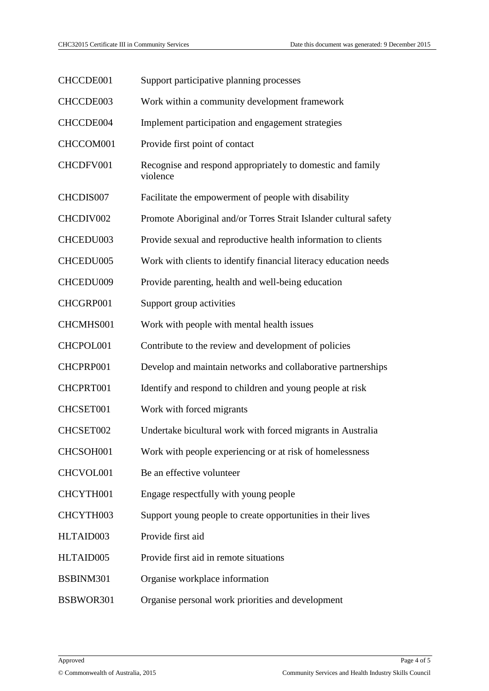| CHCCDE001 | Support participative planning processes                               |
|-----------|------------------------------------------------------------------------|
| CHCCDE003 | Work within a community development framework                          |
| CHCCDE004 | Implement participation and engagement strategies                      |
| CHCCOM001 | Provide first point of contact                                         |
| CHCDFV001 | Recognise and respond appropriately to domestic and family<br>violence |
| CHCDIS007 | Facilitate the empowerment of people with disability                   |
| CHCDIV002 | Promote Aboriginal and/or Torres Strait Islander cultural safety       |
| CHCEDU003 | Provide sexual and reproductive health information to clients          |
| CHCEDU005 | Work with clients to identify financial literacy education needs       |
| CHCEDU009 | Provide parenting, health and well-being education                     |
| CHCGRP001 | Support group activities                                               |
| CHCMHS001 | Work with people with mental health issues                             |
| CHCPOL001 | Contribute to the review and development of policies                   |
| CHCPRP001 | Develop and maintain networks and collaborative partnerships           |
| CHCPRT001 | Identify and respond to children and young people at risk              |
| CHCSET001 | Work with forced migrants                                              |
| CHCSET002 | Undertake bicultural work with forced migrants in Australia            |
| CHCSOH001 | Work with people experiencing or at risk of homelessness               |
| CHCVOL001 | Be an effective volunteer                                              |
| CHCYTH001 | Engage respectfully with young people                                  |
| CHCYTH003 | Support young people to create opportunities in their lives            |
| HLTAID003 | Provide first aid                                                      |
| HLTAID005 | Provide first aid in remote situations                                 |
| BSBINM301 | Organise workplace information                                         |
| BSBWOR301 | Organise personal work priorities and development                      |